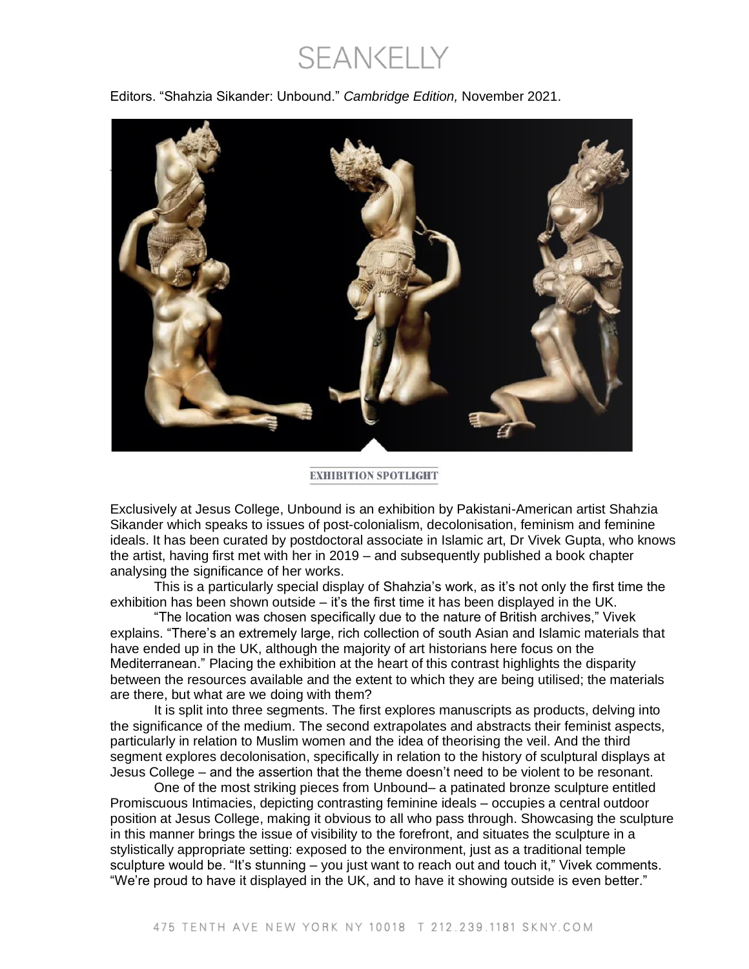**SEANKELLY** 

Editors. "Shahzia Sikander: Unbound." *Cambridge Edition,* November 2021.



**EXHIBITION SPOTLIGHT** 

Exclusively at Jesus College, Unbound is an exhibition by Pakistani-American artist Shahzia Sikander which speaks to issues of post-colonialism, decolonisation, feminism and feminine ideals. It has been curated by postdoctoral associate in Islamic art, Dr Vivek Gupta, who knows the artist, having first met with her in 2019 – and subsequently published a book chapter analysing the significance of her works.

This is a particularly special display of Shahzia's work, as it's not only the first time the exhibition has been shown outside – it's the first time it has been displayed in the UK.

"The location was chosen specifically due to the nature of British archives," Vivek explains. "There's an extremely large, rich collection of south Asian and Islamic materials that have ended up in the UK, although the majority of art historians here focus on the Mediterranean." Placing the exhibition at the heart of this contrast highlights the disparity between the resources available and the extent to which they are being utilised; the materials are there, but what are we doing with them?

It is split into three segments. The first explores manuscripts as products, delving into the significance of the medium. The second extrapolates and abstracts their feminist aspects, particularly in relation to Muslim women and the idea of theorising the veil. And the third segment explores decolonisation, specifically in relation to the history of sculptural displays at Jesus College – and the assertion that the theme doesn't need to be violent to be resonant.

One of the most striking pieces from Unbound– a patinated bronze sculpture entitled Promiscuous Intimacies, depicting contrasting feminine ideals – occupies a central outdoor position at Jesus College, making it obvious to all who pass through. Showcasing the sculpture in this manner brings the issue of visibility to the forefront, and situates the sculpture in a stylistically appropriate setting: exposed to the environment, just as a traditional temple sculpture would be. "It's stunning – you just want to reach out and touch it," Vivek comments. "We're proud to have it displayed in the UK, and to have it showing outside is even better."